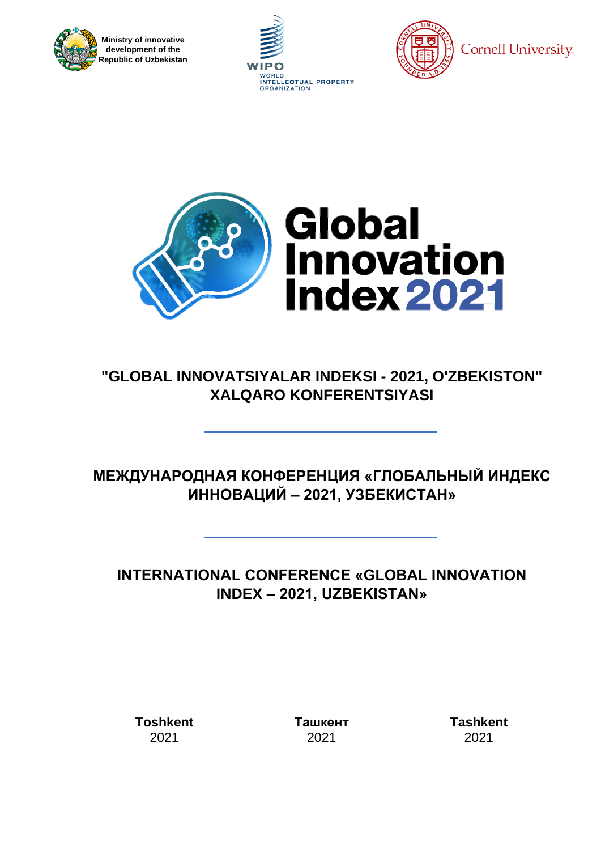







## **"GLOBAL INNOVATSIYALAR INDEKSI - 2021, O'ZBEKISTON" XALQARO KONFERENTSIYASI**

# **МЕЖДУНАРОДНАЯ КОНФЕРЕНЦИЯ «ГЛОБАЛЬНЫЙ ИНДЕКС ИННОВАЦИЙ – 2021, УЗБЕКИСТАН»**

## **INTERNATIONAL CONFERENCE «GLOBAL INNOVATION INDEX – 2021, UZBEKISTAN»**

**Toshkent** 2021

**Ташкент** 2021

**Tashkent** 2021